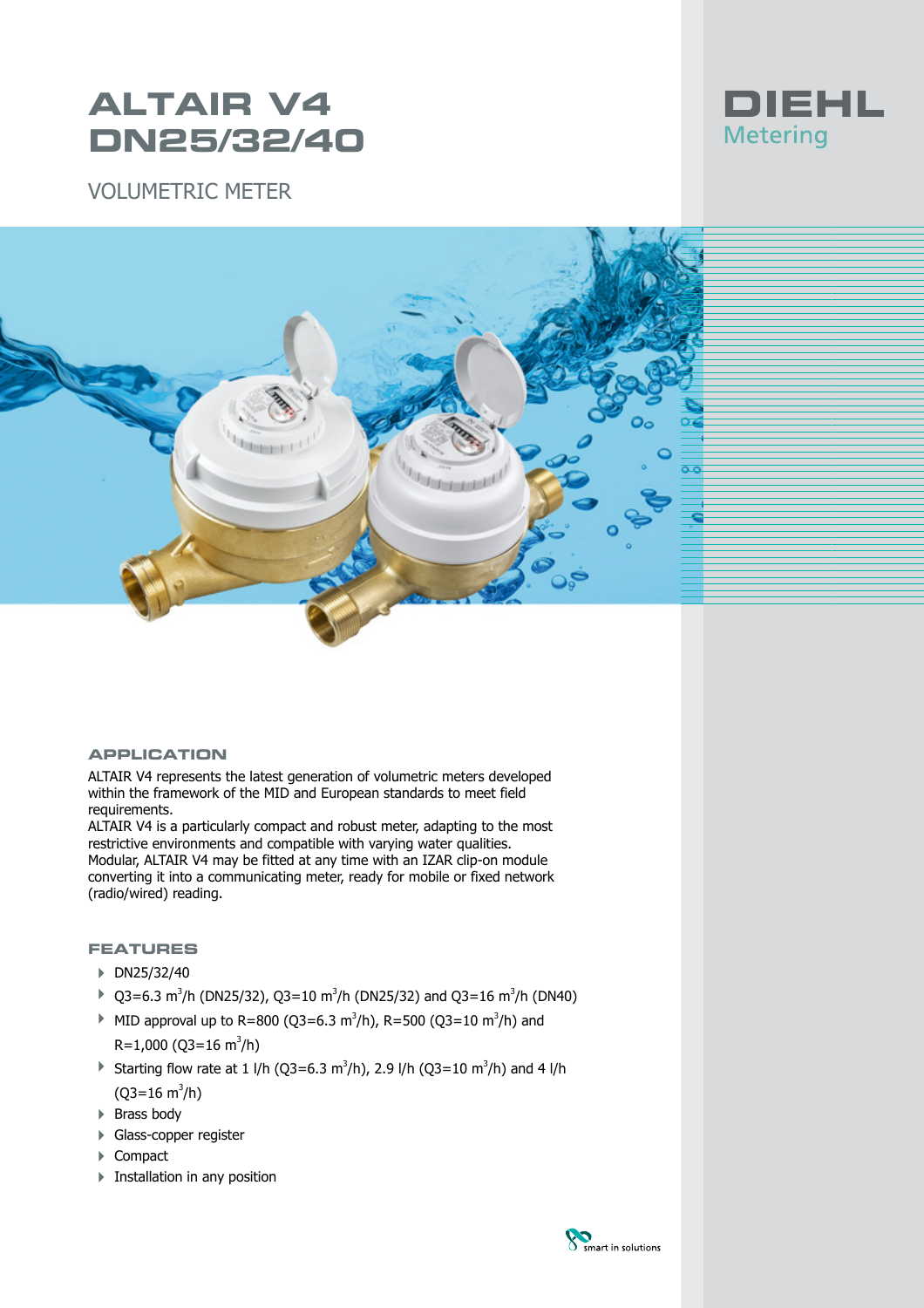# **ALTAIR V4 DN25/32/40**







#### **APPLICATION**

ALTAIR V4 represents the latest generation of volumetric meters developed within the framework of the MID and European standards to meet field requirements.

ALTAIR V4 is a particularly compact and robust meter, adapting to the most restrictive environments and compatible with varying water qualities. Modular, ALTAIR V4 may be fitted at any time with an IZAR clip-on module converting it into a communicating meter, ready for mobile or fixed network (radio/wired) reading.

### **FEATURES**

- ▶ DN25/32/40
- ▶ Q3=6.3 m<sup>3</sup>/h (DN25/32), Q3=10 m<sup>3</sup>/h (DN25/32) and Q3=16 m<sup>3</sup>/h (DN40)
- MID approval up to R=800 (Q3=6.3 m<sup>3</sup>/h), R=500 (Q3=10 m<sup>3</sup>/h) and  $R=1,000$  (Q3=16 m<sup>3</sup>/h)
- ▶ Starting flow rate at 1 l/h (Q3=6.3 m<sup>3</sup>/h), 2.9 l/h (Q3=10 m<sup>3</sup>/h) and 4 l/h (Q3=16 m<sup>3</sup>/h)
- ▶ Brass body
- **+ Glass-copper register**
- ▶ Compact
- $\blacktriangleright$  Installation in any position

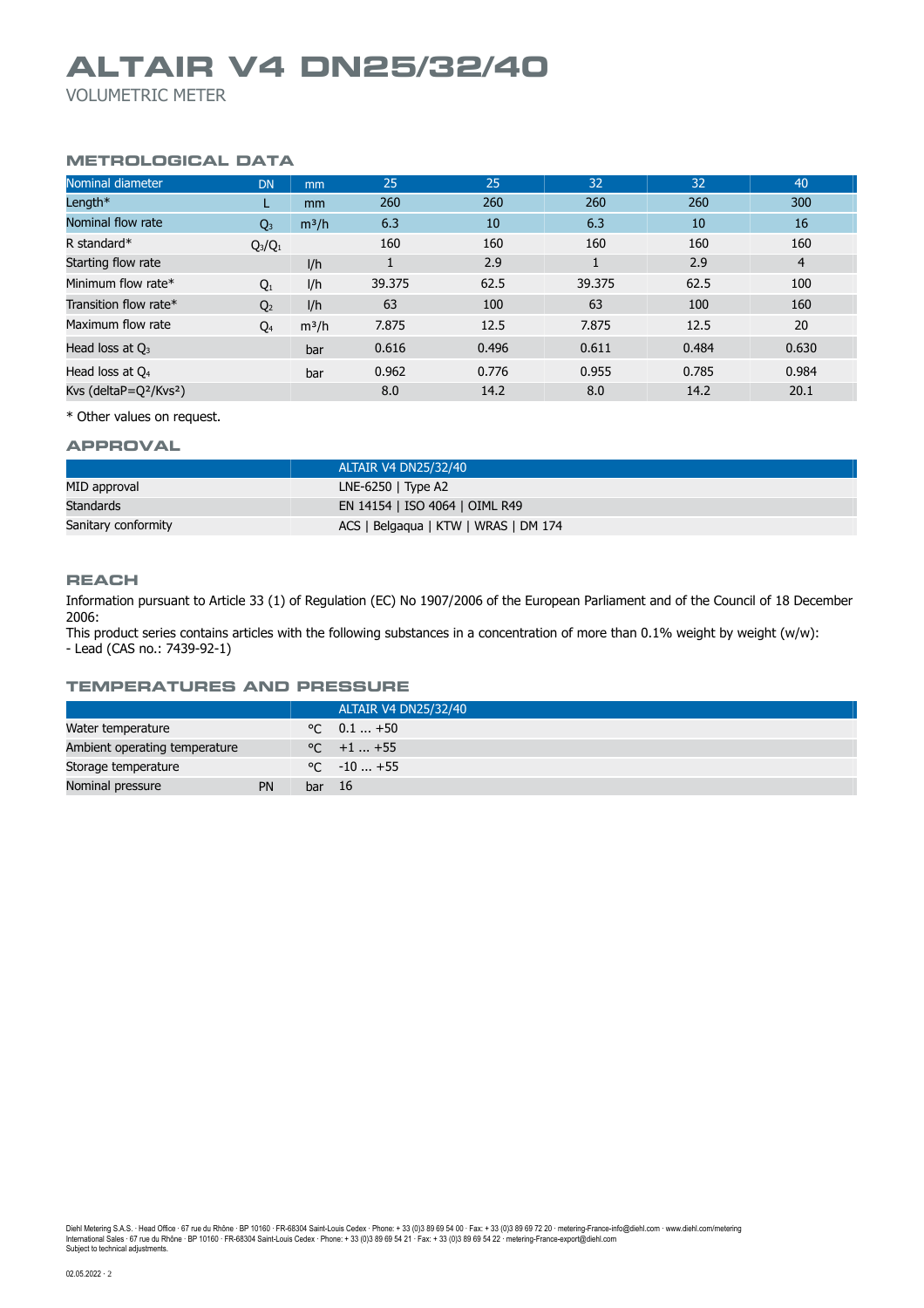## **ALTAIR V4 DN25/32/40**

VOLUMETRIC METER

### **METROLOGICAL DATA**

| Nominal diameter           | <b>DN</b>      | mm            | 25     | 25    | 32     | 32    | 40             |
|----------------------------|----------------|---------------|--------|-------|--------|-------|----------------|
| Length $*$                 |                | <sub>mm</sub> | 260    | 260   | 260    | 260   | 300            |
| Nominal flow rate          | $Q_3$          | $m^3/h$       | 6.3    | 10    | 6.3    | 10    | 16             |
| R standard*                | $Q_3/Q_1$      |               | 160    | 160   | 160    | 160   | 160            |
| Starting flow rate         |                | I/h           |        | 2.9   |        | 2.9   | $\overline{4}$ |
| Minimum flow rate*         | $Q_1$          | l/h           | 39.375 | 62.5  | 39.375 | 62.5  | 100            |
| Transition flow rate*      | Q <sub>2</sub> | I/h           | 63     | 100   | 63     | 100   | 160            |
| Maximum flow rate          | $Q_4$          | $m^3/h$       | 7.875  | 12.5  | 7.875  | 12.5  | 20             |
| Head loss at $Q_3$         |                | bar           | 0.616  | 0.496 | 0.611  | 0.484 | 0.630          |
| Head loss at $Q_4$         |                | bar           | 0.962  | 0.776 | 0.955  | 0.785 | 0.984          |
| Kvs (delta $P=Q^2/KvS^2$ ) |                |               | 8.0    | 14.2  | 8.0    | 14.2  | 20.1           |

\* Other values on request.

#### **APPROVAL**

|                     | ALTAIR V4 DN25/32/40                 |
|---------------------|--------------------------------------|
| MID approval        | LNE-6250 $\vert$ Type A2             |
| Standards           | EN 14154   ISO 4064   OIML R49       |
| Sanitary conformity | ACS   Belgaqua   KTW   WRAS   DM 174 |

#### **REACH**

Information pursuant to Article 33 (1) of Regulation (EC) No 1907/2006 of the European Parliament and of the Council of 18 December 2006:

This product series contains articles with the following substances in a concentration of more than 0.1% weight by weight (w/w): - Lead (CAS no.: 7439-92-1)

#### **TEMPERATURES AND PRESSURE**

|                               |    |        | ALTAIR V4 DN25/32/40 |
|-------------------------------|----|--------|----------------------|
| Water temperature             |    |        | $\degree$ C 0.1  +50 |
| Ambient operating temperature |    |        | $\degree$ C +1  +55  |
| Storage temperature           |    |        | $\degree$ C $-10+55$ |
| Nominal pressure              | PN | bar 16 |                      |

Diehl Metering S.A.S. · Head Office · 67 rue du Rhône · BP 10160 · FR-68304 Saint-Louis Cedex · Phone: + 33 (0)3 89 69 54 00 · Fax: + 33 (0)3 89 69 72 20 · metering-France-info@diehl.com · www.diehl.com/metering<br>Internati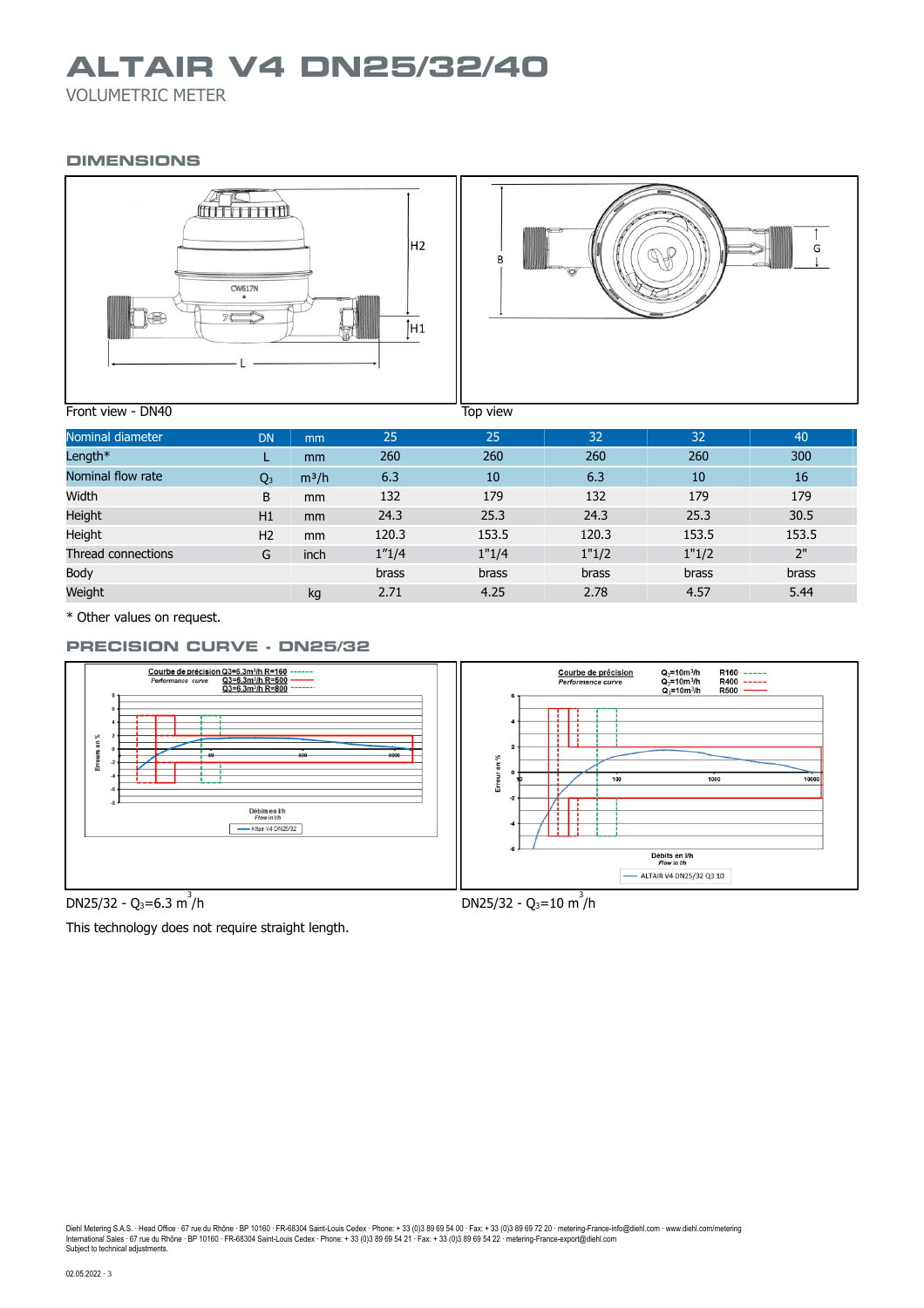## **ALTAIR V4 DN25/32/40**

VOLUMETRIC METER

### **DIMENSIONS**



| Nominal diameter   | <b>DN</b>      | mm      | 25     | 25    | 32    | 32           | 40    |
|--------------------|----------------|---------|--------|-------|-------|--------------|-------|
| Length*            |                | mm      | 260    | 260   | 260   | 260          | 300   |
| Nominal flow rate  | Q <sub>3</sub> | $m^3/h$ | 6.3    | 10    | 6.3   | 10           | 16    |
| Width              | B              | mm      | 132    | 179   | 132   | 179          | 179   |
| Height             | H1             | mm      | 24.3   | 25.3  | 24.3  | 25.3         | 30.5  |
| Height             | H <sub>2</sub> | mm      | 120.3  | 153.5 | 120.3 | 153.5        | 153.5 |
| Thread connections | G              | inch    | 1''1/4 | 1"1/4 | 1"1/2 | 1"1/2        | 2"    |
| Body               |                |         | brass  | brass | brass | <b>brass</b> | brass |
| Weight             |                | kg      | 2.71   | 4.25  | 2.78  | 4.57         | 5.44  |

\* Other values on request.

## **PRECISION CURVE - DN25/32**



DN25/32 - Q<sub>3</sub>=6.3 m<sup>3</sup>



This technology does not require straight length.

Diehl Metering S.A.S. · Head Office · 67 rue du Rhône · BP 10160 · FR-68304 Saint-Louis Cedex · Phone: + 33 (0)3 89 69 54 00 · Fax: + 33 (0)3 89 69 72 20 · metering-France-info@diehl.com · www.diehl.com/metering<br>Internati